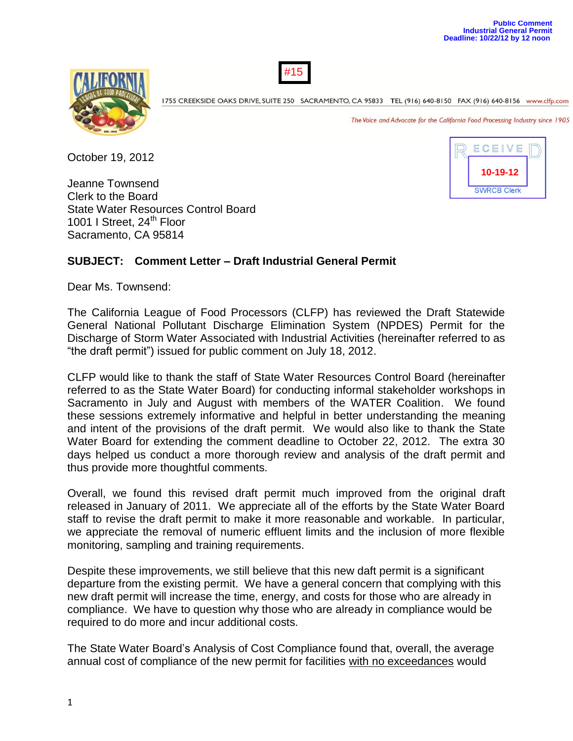**10-19-12**

**SWRCB Clerk** 

ECEIVE





1755 CREEKSIDE OAKS DRIVE, SUITE 250 SACRAMENTO, CA 95833 TEL (916) 640-8150 FAX (916) 640-8156 www.clfp.com

The Voice and Advocate for the California Food Processing Industry since 1905

October 19, 2012

Jeanne Townsend Clerk to the Board State Water Resources Control Board 1001 I Street, 24<sup>th</sup> Floor Sacramento, CA 95814

#### **SUBJECT: Comment Letter – Draft Industrial General Permit**

Dear Ms. Townsend:

The California League of Food Processors (CLFP) has reviewed the Draft Statewide General National Pollutant Discharge Elimination System (NPDES) Permit for the Discharge of Storm Water Associated with Industrial Activities (hereinafter referred to as "the draft permit") issued for public comment on July 18, 2012.

CLFP would like to thank the staff of State Water Resources Control Board (hereinafter referred to as the State Water Board) for conducting informal stakeholder workshops in Sacramento in July and August with members of the WATER Coalition. We found these sessions extremely informative and helpful in better understanding the meaning and intent of the provisions of the draft permit. We would also like to thank the State Water Board for extending the comment deadline to October 22, 2012. The extra 30 days helped us conduct a more thorough review and analysis of the draft permit and thus provide more thoughtful comments.

Overall, we found this revised draft permit much improved from the original draft released in January of 2011. We appreciate all of the efforts by the State Water Board staff to revise the draft permit to make it more reasonable and workable. In particular, we appreciate the removal of numeric effluent limits and the inclusion of more flexible monitoring, sampling and training requirements.

Despite these improvements, we still believe that this new daft permit is a significant departure from the existing permit. We have a general concern that complying with this new draft permit will increase the time, energy, and costs for those who are already in compliance. We have to question why those who are already in compliance would be required to do more and incur additional costs.

The State Water Board's Analysis of Cost Compliance found that, overall, the average annual cost of compliance of the new permit for facilities with no exceedances would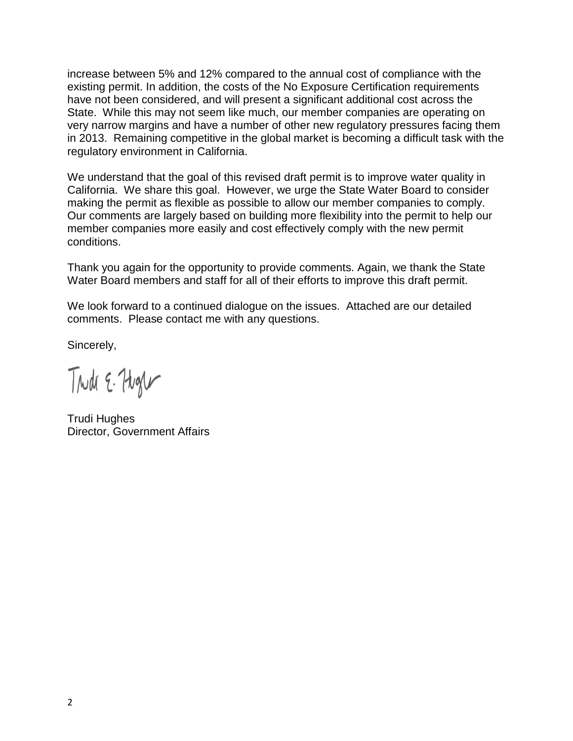increase between 5% and 12% compared to the annual cost of compliance with the existing permit. In addition, the costs of the No Exposure Certification requirements have not been considered, and will present a significant additional cost across the State. While this may not seem like much, our member companies are operating on very narrow margins and have a number of other new regulatory pressures facing them in 2013. Remaining competitive in the global market is becoming a difficult task with the regulatory environment in California.

We understand that the goal of this revised draft permit is to improve water quality in California. We share this goal. However, we urge the State Water Board to consider making the permit as flexible as possible to allow our member companies to comply. Our comments are largely based on building more flexibility into the permit to help our member companies more easily and cost effectively comply with the new permit conditions.

Thank you again for the opportunity to provide comments. Again, we thank the State Water Board members and staff for all of their efforts to improve this draft permit.

We look forward to a continued dialogue on the issues. Attached are our detailed comments. Please contact me with any questions.

Sincerely,

Trudi E. Hugh

Trudi Hughes Director, Government Affairs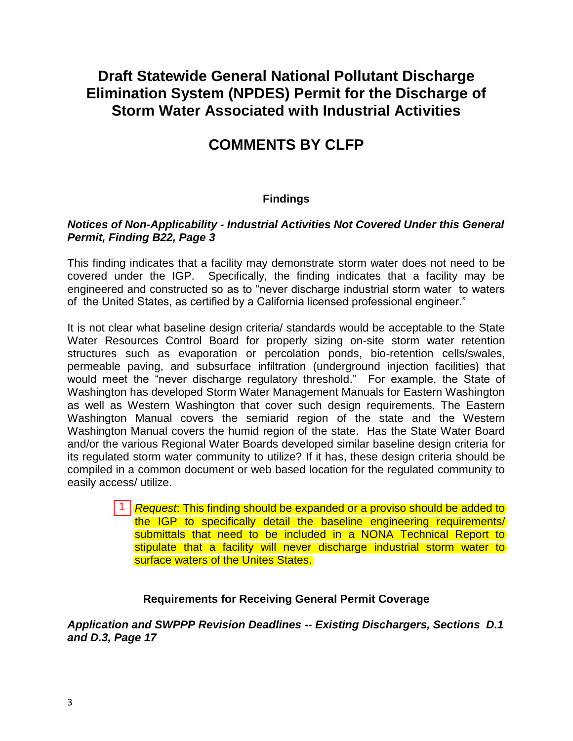# **Draft Statewide General National Pollutant Discharge Elimination System (NPDES) Permit for the Discharge of Storm Water Associated with Industrial Activities**

# **COMMENTS BY CLFP**

### **Findings**

#### *Notices of Non-Applicability - Industrial Activities Not Covered Under this General Permit, Finding B22, Page 3*

This finding indicates that a facility may demonstrate storm water does not need to be covered under the IGP. Specifically, the finding indicates that a facility may be engineered and constructed so as to "never discharge industrial storm water to waters of the United States, as certified by a California licensed professional engineer."

It is not clear what baseline design criteria/ standards would be acceptable to the State Water Resources Control Board for properly sizing on-site storm water retention structures such as evaporation or percolation ponds, bio-retention cells/swales, permeable paving, and subsurface infiltration (underground injection facilities) that would meet the "never discharge regulatory threshold." For example, the State of Washington has developed Storm Water Management Manuals for Eastern Washington as well as Western Washington that cover such design requirements. The Eastern Washington Manual covers the semiarid region of the state and the Western Washington Manual covers the humid region of the state. Has the State Water Board and/or the various Regional Water Boards developed similar baseline design criteria for its regulated storm water community to utilize? If it has, these design criteria should be compiled in a common document or web based location for the regulated community to easily access/ utilize.

> 1 **Request:** This finding should be expanded or a proviso should be added to the IGP to specifically detail the baseline engineering requirements/ submittals that need to be included in a NONA Technical Report to stipulate that a facility will never discharge industrial storm water to surface waters of the Unites States.

#### **Requirements for Receiving General Permit Coverage**

*Application and SWPPP Revision Deadlines -- Existing Dischargers, Sections D.1 and D.3, Page 17*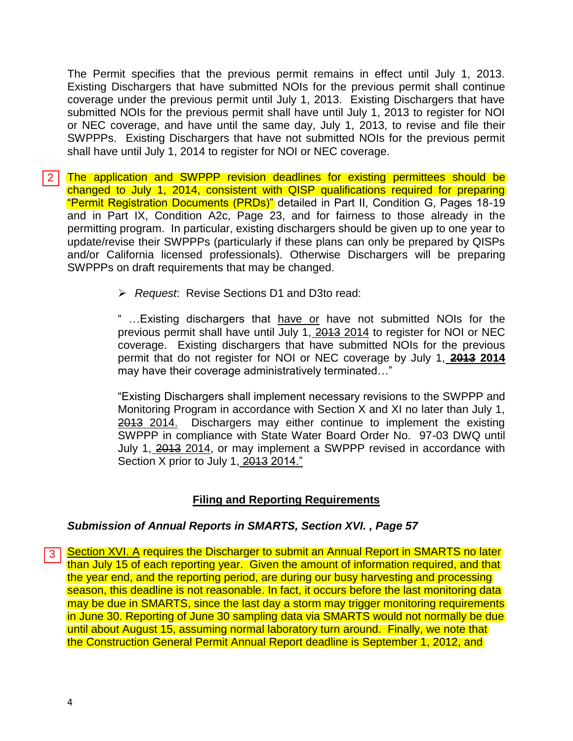The Permit specifies that the previous permit remains in effect until July 1, 2013. Existing Dischargers that have submitted NOIs for the previous permit shall continue coverage under the previous permit until July 1, 2013. Existing Dischargers that have submitted NOIs for the previous permit shall have until July 1, 2013 to register for NOI or NEC coverage, and have until the same day, July 1, 2013, to revise and file their SWPPPs. Existing Dischargers that have not submitted NOIs for the previous permit shall have until July 1, 2014 to register for NOI or NEC coverage.

- The application and SWPPP revision deadlines for existing permittees should be changed to July 1, 2014, consistent with QISP qualifications required for preparing "Permit Registration Documents (PRDs)" detailed in Part II, Condition G, Pages 18-19 and in Part IX, Condition A2c, Page 23, and for fairness to those already in the permitting program. In particular, existing dischargers should be given up to one year to update/revise their SWPPPs (particularly if these plans can only be prepared by QISPs and/or California licensed professionals). Otherwise Dischargers will be preparing SWPPPs on draft requirements that may be changed.  $\frac{2}{3}$ 
	- *Request*: Revise Sections D1 and D3to read:

" …Existing dischargers that have or have not submitted NOIs for the previous permit shall have until July 1, 2013 2014 to register for NOI or NEC coverage. Existing dischargers that have submitted NOIs for the previous permit that do not register for NOI or NEC coverage by July 1, **2013 2014** may have their coverage administratively terminated…"

"Existing Dischargers shall implement necessary revisions to the SWPPP and Monitoring Program in accordance with Section X and XI no later than July 1, 2013 2014. Dischargers may either continue to implement the existing SWPPP in compliance with State Water Board Order No. 97-03 DWQ until July 1, 2013 2014, or may implement a SWPPP revised in accordance with Section X prior to July 1, 2013 2014."

### **Filing and Reporting Requirements**

#### *Submission of Annual Reports in SMARTS, Section XVI. , Page 57*

Section XVI. A requires the Discharger to submit an Annual Report in SMARTS no later 3 | than July 15 of each reporting year. Given the amount of information required, and that the year end, and the reporting period, are during our busy harvesting and processing season, this deadline is not reasonable. In fact, it occurs before the last monitoring data may be due in SMARTS, since the last day a storm may trigger monitoring requirements in June 30. Reporting of June 30 sampling data via SMARTS would not normally be due until about August 15, assuming normal laboratory turn around. Finally, we note that the Construction General Permit Annual Report deadline is September 1, 2012, and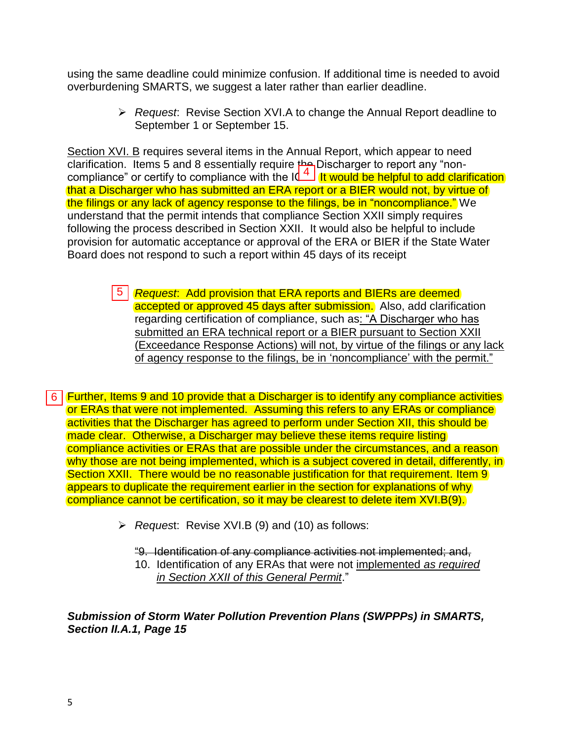using the same deadline could minimize confusion. If additional time is needed to avoid overburdening SMARTS, we suggest a later rather than earlier deadline.

> *Request*: Revise Section XVI.A to change the Annual Report deadline to September 1 or September 15.

Section XVI. B requires several items in the Annual Report, which appear to need clarification. Items 5 and 8 essentially require  $A$  Discharger to report any "noncompliance" or certify to compliance with the IL<sup>A</sup>. It would be helpful to add clarification that a Discharger who has submitted an ERA report or a BIER would not, by virtue of the filings or any lack of agency response to the filings, be in "noncompliance." We understand that the permit intends that compliance Section XXII simply requires following the process described in Section XXII. It would also be helpful to include provision for automatic acceptance or approval of the ERA or BIER if the State Water Board does not respond to such a report within 45 days of its receipt compliance" or certify to compliance with the Id-<br>that a Discharger who has submitted an ERA rep<br>the filings or any lack of agency response to the f<br>understand that the permit intends that compliance<br>following the process

 *Request*: Add provision that ERA reports and BIERs are deemed accepted or approved 45 days after submission. Also, add clarification regarding certification of compliance, such as: "A Discharger who has submitted an ERA technical report or a BIER pursuant to Section XXII (Exceedance Response Actions) will not, by virtue of the filings or any lack of agency response to the filings, be in 'noncompliance' with the permit."

Further, Items 9 and 10 provide that a Discharger is to identify any compliance activities or ERAs that were not implemented. Assuming this refers to any ERAs or compliance activities that the Discharger has agreed to perform under Section XII, this should be made clear. Otherwise, a Discharger may believe these items require listing compliance activities or ERAs that are possible under the circumstances, and a reason why those are not being implemented, which is a subject covered in detail, differently, in Section XXII. There would be no reasonable justification for that requirement. Item 9 appears to duplicate the requirement earlier in the section for explanations of why compliance cannot be certification, so it may be clearest to delete item XVI.B(9).

- *Reques*t: Revise XVI.B (9) and (10) as follows:
	- "9. Identification of any compliance activities not implemented; and,
	- 10. Identification of any ERAs that were not implemented *as required in Section XXII of this General Permit*."

*Submission of Storm Water Pollution Prevention Plans (SWPPPs) in SMARTS, Section II.A.1, Page 15*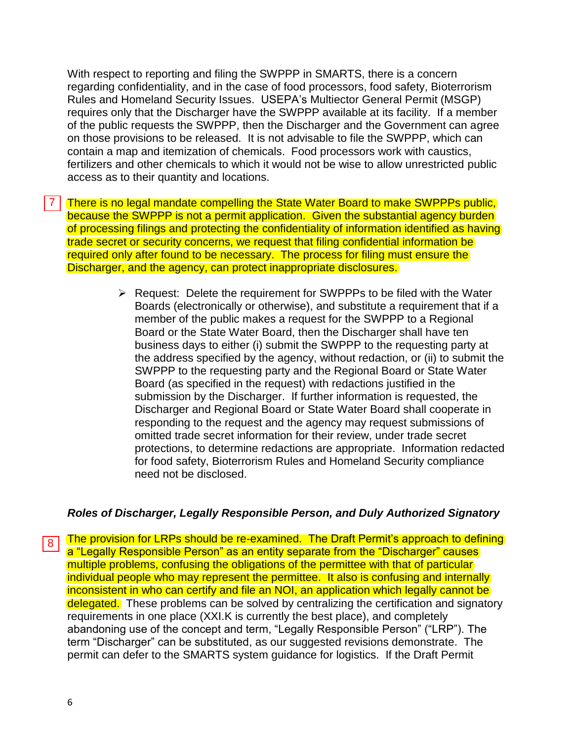With respect to reporting and filing the SWPPP in SMARTS, there is a concern regarding confidentiality, and in the case of food processors, food safety, Bioterrorism Rules and Homeland Security Issues. USEPA's Multiector General Permit (MSGP) requires only that the Discharger have the SWPPP available at its facility. If a member of the public requests the SWPPP, then the Discharger and the Government can agree on those provisions to be released. It is not advisable to file the SWPPP, which can contain a map and itemization of chemicals. Food processors work with caustics, fertilizers and other chemicals to which it would not be wise to allow unrestricted public access as to their quantity and locations.

There is no legal mandate compelling the State Water Board to make SWPPPs public, because the SWPPP is not a permit application. Given the substantial agency burden of processing filings and protecting the confidentiality of information identified as having trade secret or security concerns, we request that filing confidential information be required only after found to be necessary. The process for filing must ensure the Discharger, and the agency, can protect inappropriate disclosures.  $\frac{1}{8}$ 

 $\triangleright$  Request: Delete the requirement for SWPPPs to be filed with the Water Boards (electronically or otherwise), and substitute a requirement that if a member of the public makes a request for the SWPPP to a Regional Board or the State Water Board, then the Discharger shall have ten business days to either (i) submit the SWPPP to the requesting party at the address specified by the agency, without redaction, or (ii) to submit the SWPPP to the requesting party and the Regional Board or State Water Board (as specified in the request) with redactions justified in the submission by the Discharger. If further information is requested, the Discharger and Regional Board or State Water Board shall cooperate in responding to the request and the agency may request submissions of omitted trade secret information for their review, under trade secret protections, to determine redactions are appropriate. Information redacted for food safety, Bioterrorism Rules and Homeland Security compliance need not be disclosed.

#### *Roles of Discharger, Legally Responsible Person, and Duly Authorized Signatory*

The provision for LRPs should be re-examined. The Draft Permit's approach to defining  $\overline{8}$ a "Legally Responsible Person" as an entity separate from the "Discharger" causes multiple problems, confusing the obligations of the permittee with that of particular individual people who may represent the permittee. It also is confusing and internally inconsistent in who can certify and file an NOI, an application which legally cannot be delegated. These problems can be solved by centralizing the certification and signatory requirements in one place (XXI.K is currently the best place), and completely abandoning use of the concept and term, "Legally Responsible Person" ("LRP"). The term "Discharger" can be substituted, as our suggested revisions demonstrate. The permit can defer to the SMARTS system guidance for logistics. If the Draft Permit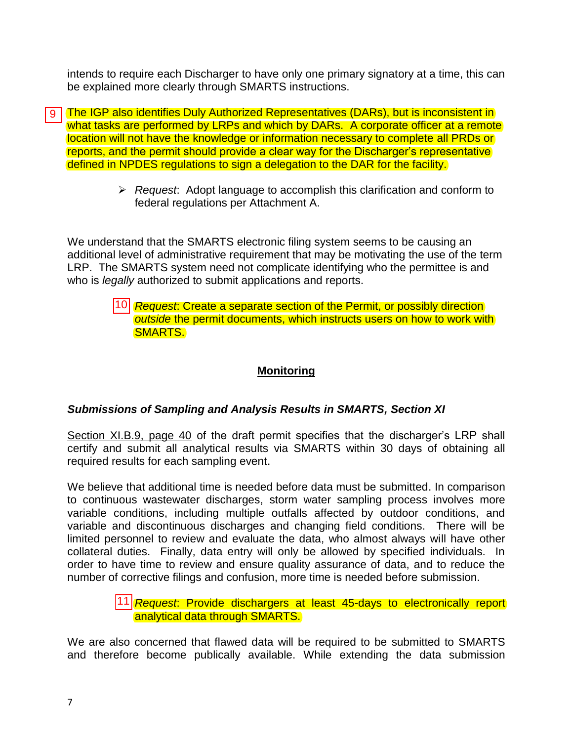intends to require each Discharger to have only one primary signatory at a time, this can be explained more clearly through SMARTS instructions.

**g** The IGP also identifies Duly Authorized Representatives (DARs), but is inconsistent in what tasks are performed by LRPs and which by DARs. A corporate officer at a remote location will not have the knowledge or information necessary to complete all PRDs or reports, and the permit should provide a clear way for the Discharger's representative defined in NPDES regulations to sign a delegation to the DAR for the facility.

> *Request*: Adopt language to accomplish this clarification and conform to federal regulations per Attachment A.

We understand that the SMARTS electronic filing system seems to be causing an additional level of administrative requirement that may be motivating the use of the term LRP. The SMARTS system need not complicate identifying who the permittee is and who is *legally* authorized to submit applications and reports.

#### *Request*: Create a separate section of the Permit, or possibly direction *outside* the permit documents, which instructs users on how to work with SMARTS.

### **Monitoring**

### *Submissions of Sampling and Analysis Results in SMARTS, Section XI*

Section XI.B.9, page 40 of the draft permit specifies that the discharger's LRP shall certify and submit all analytical results via SMARTS within 30 days of obtaining all required results for each sampling event.

We believe that additional time is needed before data must be submitted. In comparison to continuous wastewater discharges, storm water sampling process involves more variable conditions, including multiple outfalls affected by outdoor conditions, and variable and discontinuous discharges and changing field conditions. There will be limited personnel to review and evaluate the data, who almost always will have other collateral duties. Finally, data entry will only be allowed by specified individuals. In order to have time to review and ensure quality assurance of data, and to reduce the number of corrective filings and confusion, more time is needed before submission. 10<br>
ion<br>
<u>(I.B</u><br>
d :<br>
rest<br>
rest<br>
duay<br>
f compared in T1

#### *Request*: Provide dischargers at least 45-days to electronically report analytical data through SMARTS.

We are also concerned that flawed data will be required to be submitted to SMARTS and therefore become publically available. While extending the data submission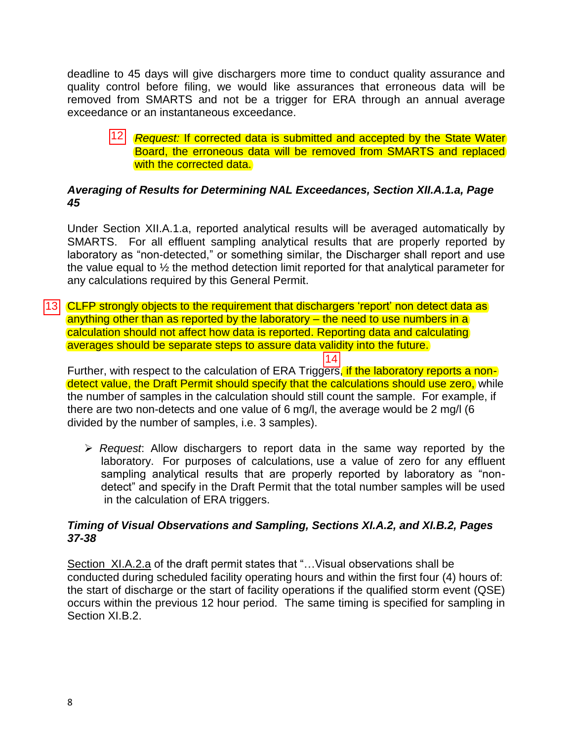deadline to 45 days will give dischargers more time to conduct quality assurance and quality control before filing, we would like assurances that erroneous data will be removed from SMARTS and not be a trigger for ERA through an annual average exceedance or an instantaneous exceedance.

#### 12 Request: If corrected data is submitted and accepted by the State Water Board, the erroneous data will be removed from SMARTS and replaced with the corrected data.

#### *Averaging of Results for Determining NAL Exceedances, Section XII.A.1.a, Page 45*

Under Section XII.A.1.a, reported analytical results will be averaged automatically by SMARTS. For all effluent sampling analytical results that are properly reported by laboratory as "non-detected," or something similar, the Discharger shall report and use the value equal to ½ the method detection limit reported for that analytical parameter for any calculations required by this General Permit.

13 CLFP strongly objects to the requirement that dischargers 'report' non detect data as anything other than as reported by the laboratory – the need to use numbers in a calculation should not affect how data is reported. Reporting data and calculating averages should be separate steps to assure data validity into the future.

Further, with respect to the calculation of ERA Triggers, if the laboratory reports a nondetect value, the Draft Permit should specify that the calculations should use zero, while the number of samples in the calculation should still count the sample. For example, if there are two non-detects and one value of 6 mg/l, the average would be 2 mg/l (6 divided by the number of samples, i.e. 3 samples).

 $|14|$ 

 *Request*: Allow dischargers to report data in the same way reported by the laboratory. For purposes of calculations, use a value of zero for any effluent sampling analytical results that are properly reported by laboratory as "nondetect" and specify in the Draft Permit that the total number samples will be used in the calculation of ERA triggers.

#### *Timing of Visual Observations and Sampling, Sections XI.A.2, and XI.B.2, Pages 37-38*

Section XI.A.2.a of the draft permit states that "…Visual observations shall be conducted during scheduled facility operating hours and within the first four (4) hours of: the start of discharge or the start of facility operations if the qualified storm event (QSE) occurs within the previous 12 hour period. The same timing is specified for sampling in Section XI.B.2.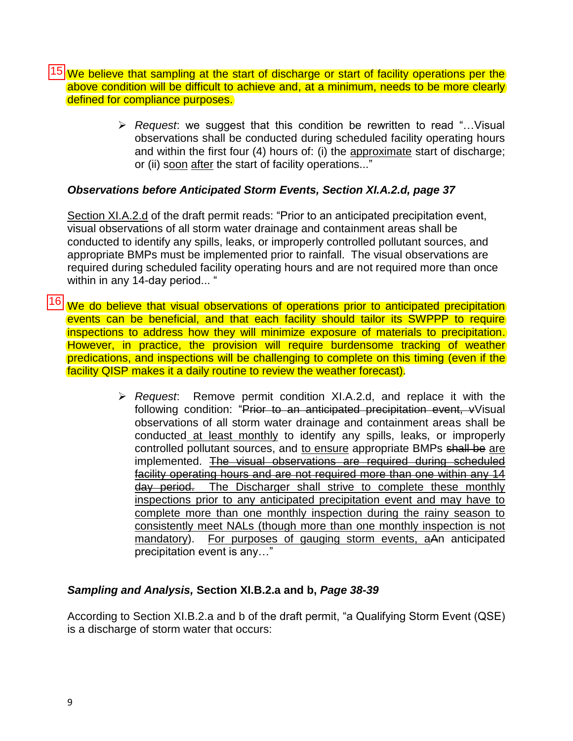$|15|$ We believe that sampling at the start of discharge or start of facility operations per the above condition will be difficult to achieve and, at a minimum, needs to be more clearly defined for compliance purposes.  $\frac{15}{16}$ 

 *Request*: we suggest that this condition be rewritten to read "…Visual observations shall be conducted during scheduled facility operating hours and within the first four (4) hours of: (i) the approximate start of discharge; or (ii) soon after the start of facility operations..."

#### *Observations before Anticipated Storm Events, Section XI.A.2.d, page 37*

Section XI.A.2.d of the draft permit reads: "Prior to an anticipated precipitation event, visual observations of all storm water drainage and containment areas shall be conducted to identify any spills, leaks, or improperly controlled pollutant sources, and appropriate BMPs must be implemented prior to rainfall. The visual observations are required during scheduled facility operating hours and are not required more than once within in any 14-day period... "

16 We do believe that visual observations of operations prior to anticipated precipitation events can be beneficial, and that each facility should tailor its SWPPP to require inspections to address how they will minimize exposure of materials to precipitation. However, in practice, the provision will require burdensome tracking of weather predications, and inspections will be challenging to complete on this timing (even if the facility QISP makes it a daily routine to review the weather forecast).

> *Request*: Remove permit condition XI.A.2.d, and replace it with the following condition: "Prior to an anticipated precipitation event, vVisual observations of all storm water drainage and containment areas shall be conducted at least monthly to identify any spills, leaks, or improperly controlled pollutant sources, and to ensure appropriate BMPs shall be are implemented. The visual observations are required during scheduled facility operating hours and are not required more than one within any 14 day period. The Discharger shall strive to complete these monthly inspections prior to any anticipated precipitation event and may have to complete more than one monthly inspection during the rainy season to consistently meet NALs (though more than one monthly inspection is not mandatory). For purposes of gauging storm events, aAn anticipated precipitation event is any…"

### *Sampling and Analysis,* **Section XI.B.2.a and b,** *Page 38-39*

According to Section XI.B.2.a and b of the draft permit, "a Qualifying Storm Event (QSE) is a discharge of storm water that occurs: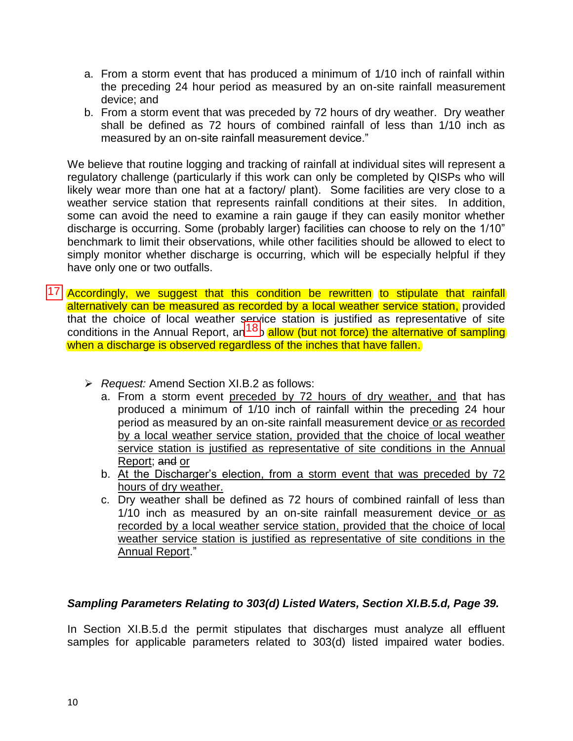- a. From a storm event that has produced a minimum of 1/10 inch of rainfall within the preceding 24 hour period as measured by an on-site rainfall measurement device; and
- b. From a storm event that was preceded by 72 hours of dry weather. Dry weather shall be defined as 72 hours of combined rainfall of less than 1/10 inch as measured by an on-site rainfall measurement device."

We believe that routine logging and tracking of rainfall at individual sites will represent a regulatory challenge (particularly if this work can only be completed by QISPs who will likely wear more than one hat at a factory/ plant). Some facilities are very close to a weather service station that represents rainfall conditions at their sites. In addition, some can avoid the need to examine a rain gauge if they can easily monitor whether discharge is occurring. Some (probably larger) facilities can choose to rely on the 1/10" benchmark to limit their observations, while other facilities should be allowed to elect to simply monitor whether discharge is occurring, which will be especially helpful if they have only one or two outfalls.

- 17 Accordingly, we suggest that this condition be rewritten to stipulate that rainfall alternatively can be measured as recorded by a local weather service station, provided that the choice of local weather service station is justified as representative of site conditions in the Annual Report,  $ar<sup>18</sup>b$  allow (but not force) the alternative of sampling when a discharge is observed regardless of the inches that have fallen.
	- *Request:* Amend Section XI.B.2 as follows:
		- a. From a storm event preceded by 72 hours of dry weather, and that has produced a minimum of 1/10 inch of rainfall within the preceding 24 hour period as measured by an on-site rainfall measurement device or as recorded by a local weather service station, provided that the choice of local weather service station is justified as representative of site conditions in the Annual Report; and or
		- b. At the Discharger's election, from a storm event that was preceded by 72 hours of dry weather.
		- c. Dry weather shall be defined as 72 hours of combined rainfall of less than 1/10 inch as measured by an on-site rainfall measurement device or as recorded by a local weather service station, provided that the choice of local weather service station is justified as representative of site conditions in the Annual Report."

#### *Sampling Parameters Relating to 303(d) Listed Waters, Section XI.B.5.d, Page 39.*

In Section XI.B.5.d the permit stipulates that discharges must analyze all effluent samples for applicable parameters related to 303(d) listed impaired water bodies.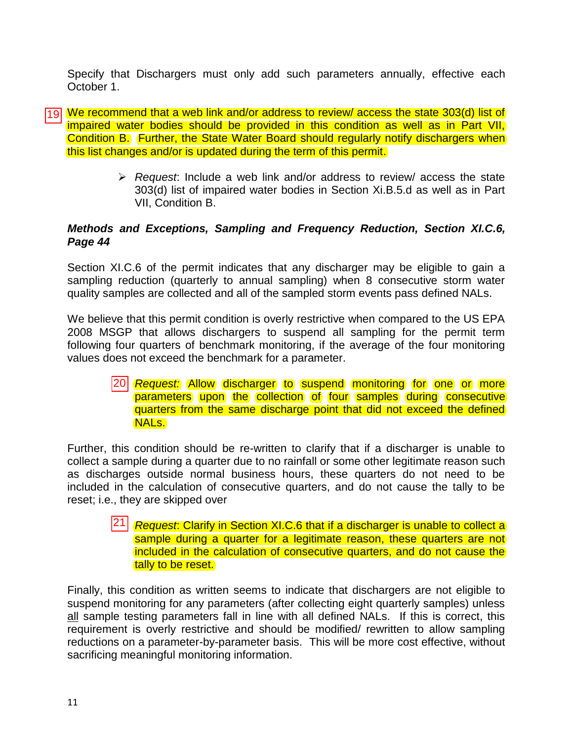Specify that Dischargers must only add such parameters annually, effective each October 1.

- We recommend that a web link and/or address to review/ access the state 303(d) list of 19 impaired water bodies should be provided in this condition as well as in Part VII, Condition B. Further, the State Water Board should regularly notify dischargers when this list changes and/or is updated during the term of this permit.
	- *Request*: Include a web link and/or address to review/ access the state 303(d) list of impaired water bodies in Section Xi.B.5.d as well as in Part VII, Condition B.

#### *Methods and Exceptions, Sampling and Frequency Reduction, Section XI.C.6, Page 44*

Section XI.C.6 of the permit indicates that any discharger may be eligible to gain a sampling reduction (quarterly to annual sampling) when 8 consecutive storm water quality samples are collected and all of the sampled storm events pass defined NALs.

We believe that this permit condition is overly restrictive when compared to the US EPA 2008 MSGP that allows dischargers to suspend all sampling for the permit term following four quarters of benchmark monitoring, if the average of the four monitoring values does not exceed the benchmark for a parameter.

#### *Request:* Allow discharger to suspend monitoring for one or more parameters upon the collection of four samples during consecutive quarters from the same discharge point that did not exceed the defined NALs.

Further, this condition should be re-written to clarify that if a discharger is unable to collect a sample during a quarter due to no rainfall or some other legitimate reason such as discharges outside normal business hours, these quarters do not need to be included in the calculation of consecutive quarters, and do not cause the tally to be reset; i.e., they are skipped over  $\frac{20}{3}$ <br>this<br>sargin<br>in, the  $\frac{1}{21}$ 

 *Request*: Clarify in Section XI.C.6 that if a discharger is unable to collect a sample during a quarter for a legitimate reason, these quarters are not included in the calculation of consecutive quarters, and do not cause the tally to be reset.

Finally, this condition as written seems to indicate that dischargers are not eligible to suspend monitoring for any parameters (after collecting eight quarterly samples) unless all sample testing parameters fall in line with all defined NALs. If this is correct, this requirement is overly restrictive and should be modified/ rewritten to allow sampling reductions on a parameter-by-parameter basis. This will be more cost effective, without sacrificing meaningful monitoring information.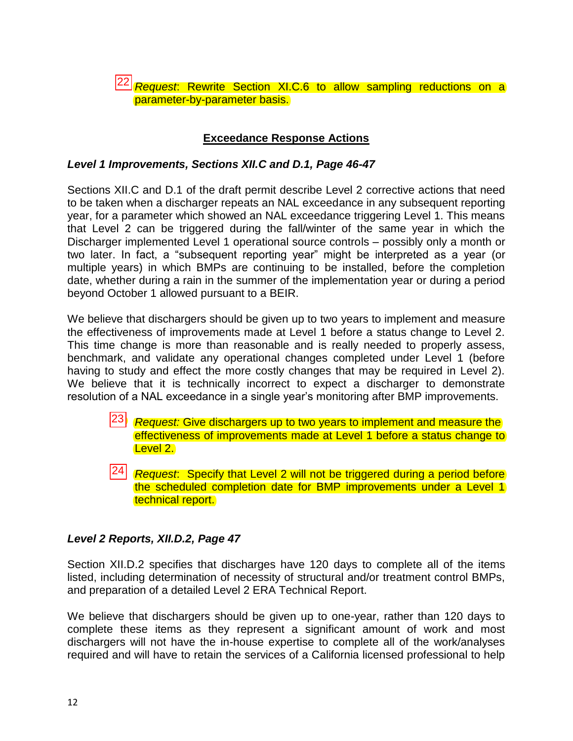*Request*: Rewrite Section XI.C.6 to allow sampling reductions on a 22 parameter-by-parameter basis.

#### **Exceedance Response Actions**

#### *Level 1 Improvements, Sections XII.C and D.1, Page 46-47*

Sections XII.C and D.1 of the draft permit describe Level 2 corrective actions that need to be taken when a discharger repeats an NAL exceedance in any subsequent reporting year, for a parameter which showed an NAL exceedance triggering Level 1. This means that Level 2 can be triggered during the fall/winter of the same year in which the Discharger implemented Level 1 operational source controls – possibly only a month or two later. In fact, a "subsequent reporting year" might be interpreted as a year (or multiple years) in which BMPs are continuing to be installed, before the completion date, whether during a rain in the summer of the implementation year or during a period beyond October 1 allowed pursuant to a BEIR.

We believe that dischargers should be given up to two years to implement and measure the effectiveness of improvements made at Level 1 before a status change to Level 2. This time change is more than reasonable and is really needed to properly assess, benchmark, and validate any operational changes completed under Level 1 (before having to study and effect the more costly changes that may be required in Level 2). We believe that it is technically incorrect to expect a discharger to demonstrate resolution of a NAL exceedance in a single year's monitoring after BMP improvements.

- *Request:* Give dischargers up to two years to implement and measure the<br>
effectiveness of improvements made at Level 1 before a status change to<br>
Level 2.<br> *Request:* Specify that Level 2 will not be triggered during a pe effectiveness of improvements made at Level 1 before a status change to Level 2.
- *Request*: Specify that Level 2 will not be triggered during a period before the scheduled completion date for BMP improvements under a Level 1 technical report.

#### *Level 2 Reports, XII.D.2, Page 47*

Section XII.D.2 specifies that discharges have 120 days to complete all of the items listed, including determination of necessity of structural and/or treatment control BMPs, and preparation of a detailed Level 2 ERA Technical Report.

We believe that dischargers should be given up to one-year, rather than 120 days to complete these items as they represent a significant amount of work and most dischargers will not have the in-house expertise to complete all of the work/analyses required and will have to retain the services of a California licensed professional to help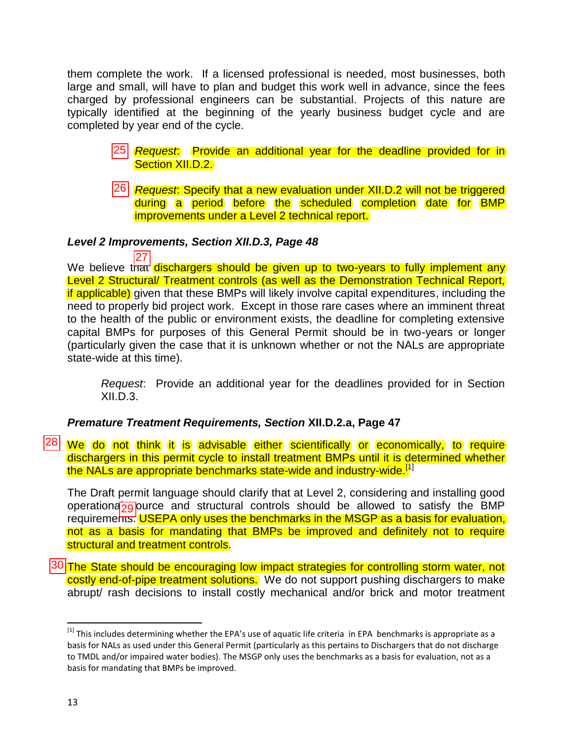them complete the work. If a licensed professional is needed, most businesses, both large and small, will have to plan and budget this work well in advance, since the fees charged by professional engineers can be substantial. Projects of this nature are typically identified at the beginning of the yearly business budget cycle and are completed by year end of the cycle.

- <u>Request:</u> Provide an additional year for the deadline provided for in<br>
Section XII.D.2.<br>
26 *Request: Specify that a new* evaluation under XII.D.2 will not be triggered Section XII.D.2.
- *Request*: Specify that a new evaluation under XII.D.2 will not be triggered during a period before the scheduled completion date for BMP improvements under a Level 2 technical report.

#### *Level 2 Improvements, Section XII.D.3, Page 48*

We believe that dischargers should be given up to two-years to fully implement any Level 2 Structural/ Treatment controls (as well as the Demonstration Technical Report, if applicable) given that these BMPs will likely involve capital expenditures, including the need to properly bid project work. Except in those rare cases where an imminent threat to the health of the public or environment exists, the deadline for completing extensive capital BMPs for purposes of this General Permit should be in two-years or longer (particularly given the case that it is unknown whether or not the NALs are appropriate state-wide at this time). 27

*Request*: Provide an additional year for the deadlines provided for in Section  $XII.D.3.$ 

### *Premature Treatment Requirements, Section* **XII.D.2.a, Page 47**

28 We do not think it is advisable either scientifically or economically, to require dischargers in this permit cycle to install treatment BMPs until it is determined whether the NALs are appropriate benchmarks state-wide and industry-wide.<sup>[1]</sup>

The Draft permit language should clarify that at Level 2, considering and installing good operationa<sub>29</sub> purce and structural controls should be allowed to satisfy the BMP requirements. USEPA only uses the benchmarks in the MSGP as a basis for evaluation, not as a basis for mandating that BMPs be improved and definitely not to require structural and treatment controls.

30 The State should be encouraging low impact strategies for controlling storm water, not costly end-of-pipe treatment solutions. We do not support pushing dischargers to make abrupt/ rash decisions to install costly mechanical and/or brick and motor treatment

 $\overline{a}$ 

 $^{[1]}$  This includes determining whether the EPA's use of aquatic life criteria in EPA benchmarks is appropriate as a basis for NALs as used under this General Permit (particularly as this pertains to Dischargers that do not discharge to TMDL and/or impaired water bodies). The MSGP only uses the benchmarks as a basis for evaluation, not as a basis for mandating that BMPs be improved.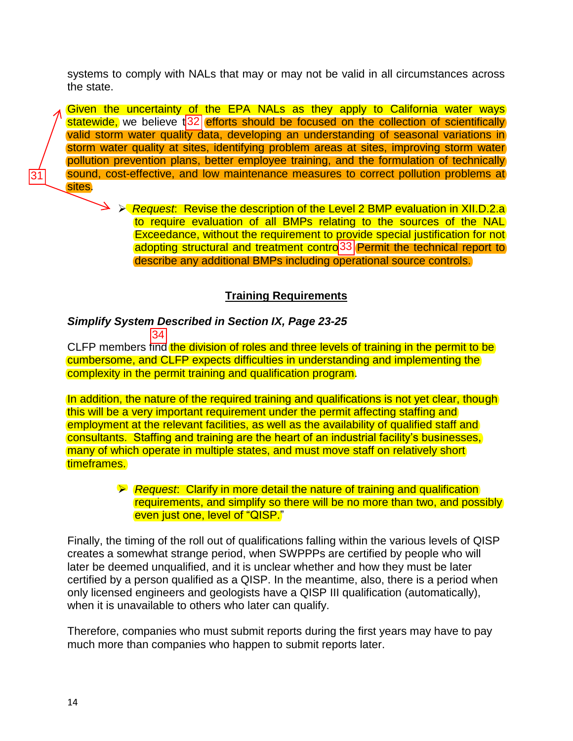systems to comply with NALs that may or may not be valid in all circumstances across the state.

Given the uncertainty of the EPA NALs as they apply to California water ways statewide, we believe  $\sqrt{32}$  efforts should be focused on the collection of scientifically valid storm water quality data, developing an understanding of seasonal variations in storm water quality at sites, identifying problem areas at sites, improving storm water pollution prevention plans, better employee training, and the formulation of technically sound, cost-effective, and low maintenance measures to correct pollution problems at sites. statewide, we believe t<sup>1</sup>32<br>
valid storm water quality of<br>
storm water quality at site<br>
pollution prevention plans,<br>
sound, cost-effective, and

> **EXA Request:** Revise the description of the Level 2 BMP evaluation in XII.D.2.a to require evaluation of all BMPs relating to the sources of the NAL Exceedance, without the requirement to provide special justification for not adopting structural and treatment contro<sup>33</sup> Permit the technical report to describe any additional BMPs including operational source controls.

#### **Training Requirements**

#### *Simplify System Described in Section IX, Page 23-25* 34

CLFP members find the division of roles and three levels of training in the permit to be cumbersome, and CLFP expects difficulties in understanding and implementing the complexity in the permit training and qualification program.

In addition, the nature of the required training and qualifications is not yet clear, though this will be a very important requirement under the permit affecting staffing and employment at the relevant facilities, as well as the availability of qualified staff and consultants. Staffing and training are the heart of an industrial facility's businesses, many of which operate in multiple states, and must move staff on relatively short timeframes.

#### *Request*: Clarify in more detail the nature of training and qualification requirements, and simplify so there will be no more than two, and possibly even just one, level of "QISP."

Finally, the timing of the roll out of qualifications falling within the various levels of QISP creates a somewhat strange period, when SWPPPs are certified by people who will later be deemed unqualified, and it is unclear whether and how they must be later certified by a person qualified as a QISP. In the meantime, also, there is a period when only licensed engineers and geologists have a QISP III qualification (automatically), when it is unavailable to others who later can qualify.

Therefore, companies who must submit reports during the first years may have to pay much more than companies who happen to submit reports later.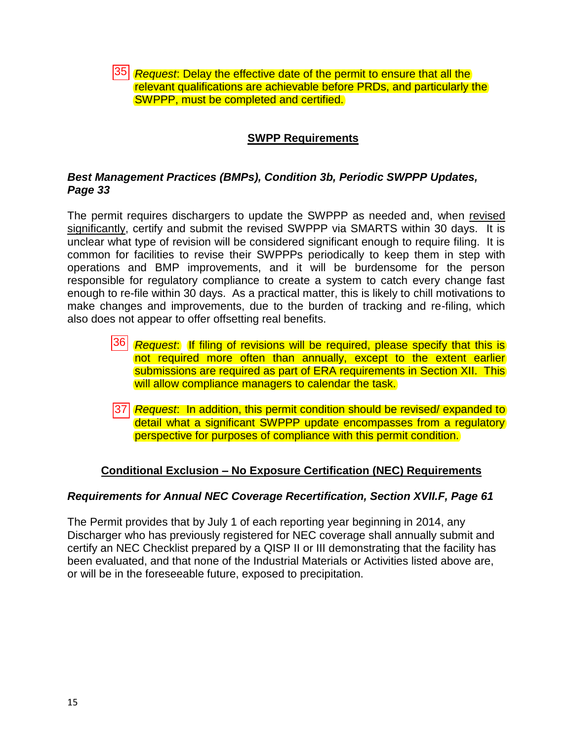*Request*: Delay the effective date of the permit to ensure that all the relevant qualifications are achievable before PRDs, and particularly the SWPPP, must be completed and certified.

### **SWPP Requirements**

### *Best Management Practices (BMPs), Condition 3b, Periodic SWPPP Updates, Page 33*

The permit requires dischargers to update the SWPPP as needed and, when revised significantly, certify and submit the revised SWPPP via SMARTS within 30 days. It is unclear what type of revision will be considered significant enough to require filing. It is common for facilities to revise their SWPPPs periodically to keep them in step with operations and BMP improvements, and it will be burdensome for the person responsible for regulatory compliance to create a system to catch every change fast enough to re-file within 30 days. As a practical matter, this is likely to chill motivations to make changes and improvements, due to the burden of tracking and re-filing, which also does not appear to offer offsetting real benefits. 35<br>
and<br>
it the following<br>
she and<br>
36<br>
37<br>
37

- *Request*: If filing of revisions will be required, please specify that this is not required more often than annually, except to the extent earlier submissions are required as part of ERA requirements in Section XII. This will allow compliance managers to calendar the task.
- *Request*: In addition, this permit condition should be revised/ expanded to detail what a significant SWPPP update encompasses from a regulatory perspective for purposes of compliance with this permit condition.

### **Conditional Exclusion – No Exposure Certification (NEC) Requirements**

#### *Requirements for Annual NEC Coverage Recertification, Section XVII.F, Page 61*

The Permit provides that by July 1 of each reporting year beginning in 2014, any Discharger who has previously registered for NEC coverage shall annually submit and certify an NEC Checklist prepared by a QISP II or III demonstrating that the facility has been evaluated, and that none of the Industrial Materials or Activities listed above are, or will be in the foreseeable future, exposed to precipitation.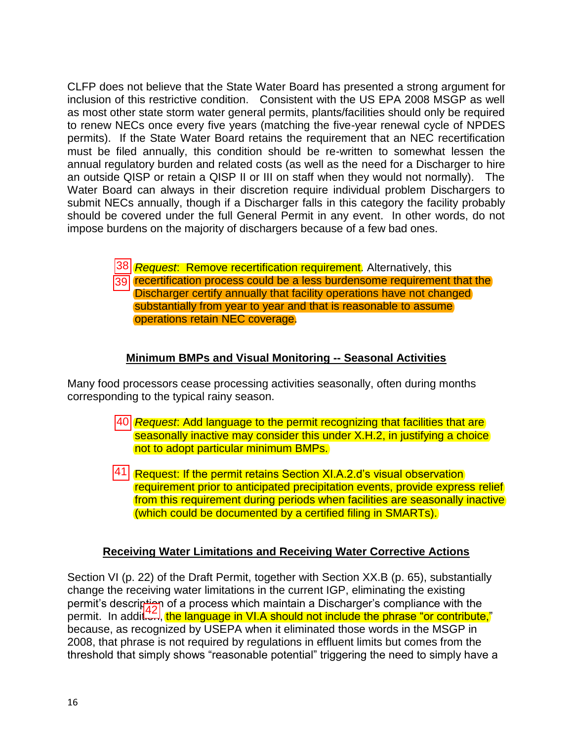CLFP does not believe that the State Water Board has presented a strong argument for inclusion of this restrictive condition. Consistent with the US EPA 2008 MSGP as well as most other state storm water general permits, plants/facilities should only be required to renew NECs once every five years (matching the five-year renewal cycle of NPDES permits). If the State Water Board retains the requirement that an NEC recertification must be filed annually, this condition should be re-written to somewhat lessen the annual regulatory burden and related costs (as well as the need for a Discharger to hire an outside QISP or retain a QISP II or III on staff when they would not normally). The Water Board can always in their discretion require individual problem Dischargers to submit NECs annually, though if a Discharger falls in this category the facility probably should be covered under the full General Permit in any event. In other words, do not impose burdens on the majority of dischargers because of a few bad ones.

> *Request*: Remove recertification requirement. Alternatively, this 39 recertification process could be a less burdensome requirement that the Discharger certify annually that facility operations have not changed substantially from year to year and that is reasonable to assume operations retain NEC coverage.  $\begin{array}{r} \hline \hline 39 \\ \hline \hline 39 \\ \hline \end{array}$ d p

### **Minimum BMPs and Visual Monitoring -- Seasonal Activities**

Many food processors cease processing activities seasonally, often during months corresponding to the typical rainy season.

- *Request*: Add language to the permit recognizing that facilities that are seasonally inactive may consider this under X.H.2, in justifying a choice not to adopt particular minimum BMPs.
- 41 Request: If the permit retains Section XI.A.2.d's visual observation requirement prior to anticipated precipitation events, provide express relief from this requirement during periods when facilities are seasonally inactive (which could be documented by a certified filing in SMARTs).

### **Receiving Water Limitations and Receiving Water Corrective Actions**

Section VI (p. 22) of the Draft Permit, together with Section XX.B (p. 65), substantially change the receiving water limitations in the current IGP, eliminating the existing permit's description of a process which maintain a Discharger's compliance with the permit. In addit and the language in VI.A should not include the phrase "or contribute," because, as recognized by USEPA when it eliminated those words in the MSGP in 2008, that phrase is not required by regulations in effluent limits but comes from the threshold that simply shows "reasonable potential" triggering the need to simply have a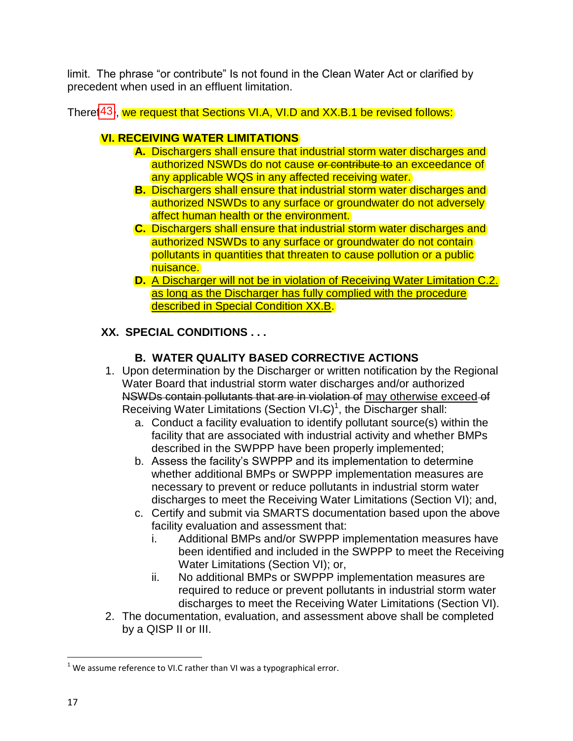limit. The phrase "or contribute" Is not found in the Clean Water Act or clarified by precedent when used in an effluent limitation.

There[43], we request that Sections VI.A, VI.D and XX.B.1 be revised follows:

## **VI. RECEIVING WATER LIMITATIONS**

- **A.** Dischargers shall ensure that industrial storm water discharges and authorized NSWDs do not cause or contribute to an exceedance of any applicable WQS in any affected receiving water.
- **B.** Dischargers shall ensure that industrial storm water discharges and authorized NSWDs to any surface or groundwater do not adversely affect human health or the environment.
- **C.** Dischargers shall ensure that industrial storm water discharges and authorized NSWDs to any surface or groundwater do not contain pollutants in quantities that threaten to cause pollution or a public nuisance.
- **D.** A Discharger will not be in violation of Receiving Water Limitation C.2. as long as the Discharger has fully complied with the procedure described in Special Condition XX.B.

## **XX. SPECIAL CONDITIONS . . .**

## **B. WATER QUALITY BASED CORRECTIVE ACTIONS**

- 1. Upon determination by the Discharger or written notification by the Regional Water Board that industrial storm water discharges and/or authorized NSWDs contain pollutants that are in violation of may otherwise exceed of Receiving Water Limitations (Section VI.C)<sup>1</sup>, the Discharger shall:
	- a. Conduct a facility evaluation to identify pollutant source(s) within the facility that are associated with industrial activity and whether BMPs described in the SWPPP have been properly implemented;
	- b. Assess the facility's SWPPP and its implementation to determine whether additional BMPs or SWPPP implementation measures are necessary to prevent or reduce pollutants in industrial storm water discharges to meet the Receiving Water Limitations (Section VI); and,
	- c. Certify and submit via SMARTS documentation based upon the above facility evaluation and assessment that:
		- i. Additional BMPs and/or SWPPP implementation measures have been identified and included in the SWPPP to meet the Receiving Water Limitations (Section VI); or,
		- ii. No additional BMPs or SWPPP implementation measures are required to reduce or prevent pollutants in industrial storm water discharges to meet the Receiving Water Limitations (Section VI).
- 2. The documentation, evaluation, and assessment above shall be completed by a QISP II or III.

 $\overline{\phantom{a}}$  $1$  We assume reference to VI.C rather than VI was a typographical error.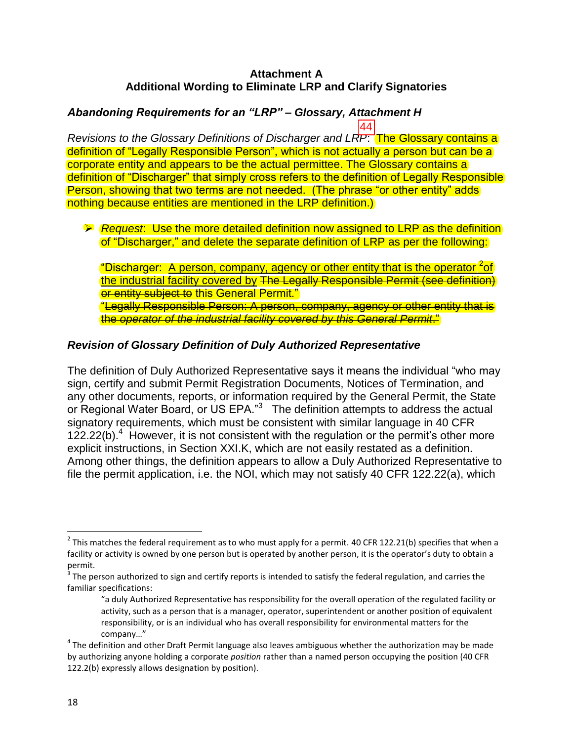#### **Attachment A Additional Wording to Eliminate LRP and Clarify Signatories**

#### *Abandoning Requirements for an "LRP" – Glossary, Attachment H* 44

*Revisions to the Glossary Definitions of Discharger and LRP*: The Glossary contains a definition of "Legally Responsible Person", which is not actually a person but can be a corporate entity and appears to be the actual permittee. The Glossary contains a definition of "Discharger" that simply cross refers to the definition of Legally Responsible Person, showing that two terms are not needed. (The phrase "or other entity" adds nothing because entities are mentioned in the LRP definition.)

 *Request*: Use the more detailed definition now assigned to LRP as the definition of "Discharger," and delete the separate definition of LRP as per the following:

"Discharger: A person, company, agency or other entity that is the operator <sup>2</sup>of the industrial facility covered by The Legally Responsible Permit (see definition) or entity subject to this General Permit." "Legally Responsible Person: A person, company, agency or other entity that is the *operator of the industrial facility covered by this General Permit*."

### *Revision of Glossary Definition of Duly Authorized Representative*

The definition of Duly Authorized Representative says it means the individual "who may sign, certify and submit Permit Registration Documents, Notices of Termination, and any other documents, reports, or information required by the General Permit, the State or Regional Water Board, or US EPA."<sup>3</sup> The definition attempts to address the actual signatory requirements, which must be consistent with similar language in 40 CFR  $122.22(b).$ <sup>4</sup> However, it is not consistent with the regulation or the permit's other more explicit instructions, in Section XXI.K, which are not easily restated as a definition. Among other things, the definition appears to allow a Duly Authorized Representative to file the permit application, i.e. the NOI, which may not satisfy 40 CFR 122.22(a), which

 $\overline{\phantom{a}}$ 

<sup>&</sup>lt;sup>2</sup> This matches the federal requirement as to who must apply for a permit. 40 CFR 122.21(b) specifies that when a facility or activity is owned by one person but is operated by another person, it is the operator's duty to obtain a permit.

 $^3$  The person authorized to sign and certify reports is intended to satisfy the federal regulation, and carries the familiar specifications:

<sup>&</sup>quot;a duly Authorized Representative has responsibility for the overall operation of the regulated facility or activity, such as a person that is a manager, operator, superintendent or another position of equivalent responsibility, or is an individual who has overall responsibility for environmental matters for the company…"

 $^4$  The definition and other Draft Permit language also leaves ambiguous whether the authorization may be made by authorizing anyone holding a corporate *position* rather than a named person occupying the position (40 CFR 122.2(b) expressly allows designation by position).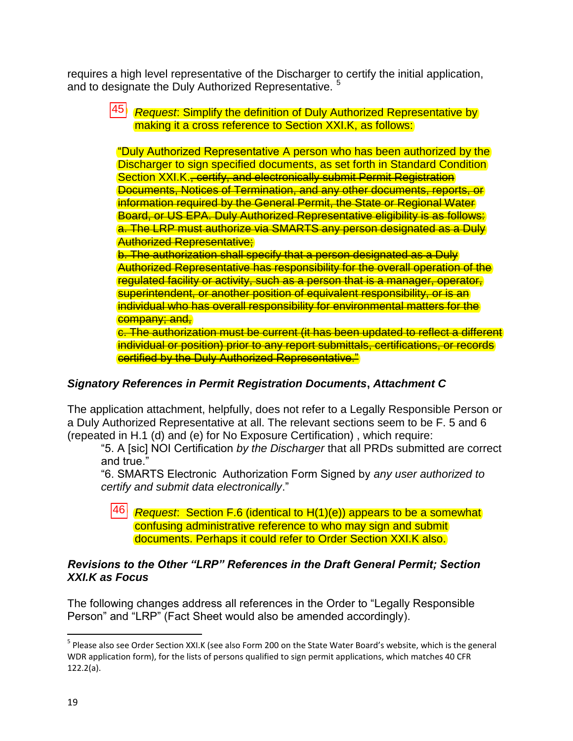requires a high level representative of the Discharger to certify the initial application, and to designate the Duly Authorized Representative.<sup>5</sup>

 *Request*: Simplify the definition of Duly Authorized Representative by making it a cross reference to Section XXI.K, as follows:

"Duly Authorized Representative A person who has been authorized by the Discharger to sign specified documents, as set forth in Standard Condition Section XXI.K., certify, and electronically submit Permit Registration Documents, Notices of Termination, and any other documents, reports, or information required by the General Permit, the State or Regional Water Board, or US EPA. Duly Authorized Representative eligibility is as follows: a. The LRP must authorize via SMARTS any person designated as a Duly **Authorized Representative;** 45 "LDOSDDE SPORDCRADE ALTERNE SPORDCRADE ALTERNE SPORDCRADE ALTERNE SPORDCRADE ALTERNE SPORDCRADE ALTERNE S<br>46

b. The authorization shall specify that a person designated as a Duly Authorized Representative has responsibility for the overall operation of the regulated facility or activity, such as a person that is a manager, operator, superintendent, or another position of equivalent responsibility, or is an individual who has overall responsibility for environmental matters for the company; and,

c. The authorization must be current (it has been updated to reflect a different individual or position) prior to any report submittals, certifications, or records certified by the Duly Authorized Representative."

### *Signatory References in Permit Registration Documents***,** *Attachment C*

The application attachment, helpfully, does not refer to a Legally Responsible Person or a Duly Authorized Representative at all. The relevant sections seem to be F. 5 and 6 (repeated in H.1 (d) and (e) for No Exposure Certification) , which require:

"5. A [sic] NOI Certification *by the Discharger* that all PRDs submitted are correct and true."

"6. SMARTS Electronic Authorization Form Signed by *any user authorized to certify and submit data electronically*."

 *Request*: Section F.6 (identical to H(1)(e)) appears to be a somewhat confusing administrative reference to who may sign and submit documents. Perhaps it could refer to Order Section XXI.K also.

#### *Revisions to the Other "LRP" References in the Draft General Permit; Section XXI.K as Focus*

The following changes address all references in the Order to "Legally Responsible Person" and "LRP" (Fact Sheet would also be amended accordingly).

 $\overline{\phantom{a}}$ 

<sup>&</sup>lt;sup>5</sup> Please also see Order Section XXI.K (see also Form 200 on the State Water Board's website, which is the general WDR application form), for the lists of persons qualified to sign permit applications, which matches 40 CFR 122.2(a).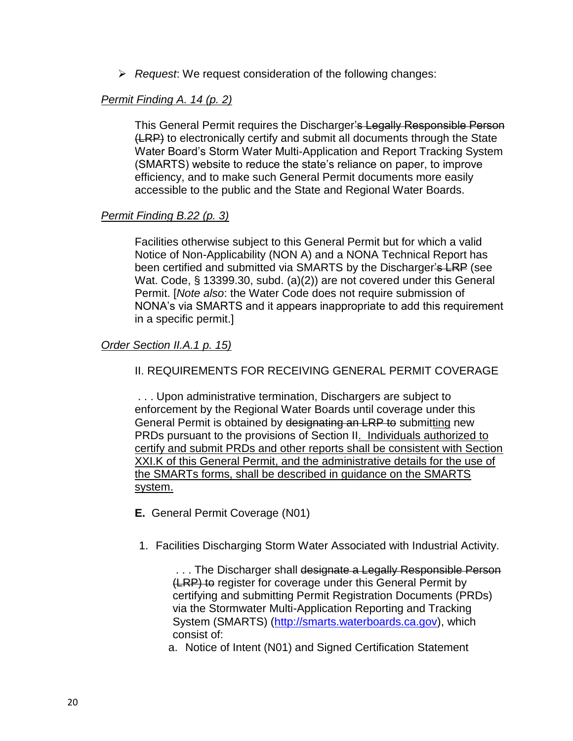*Request*: We request consideration of the following changes:

### *Permit Finding A. 14 (p. 2)*

This General Permit requires the Discharger's Legally Responsible Person (LRP) to electronically certify and submit all documents through the State Water Board's Storm Water Multi-Application and Report Tracking System (SMARTS) website to reduce the state's reliance on paper, to improve efficiency, and to make such General Permit documents more easily accessible to the public and the State and Regional Water Boards.

#### *Permit Finding B.22 (p. 3)*

Facilities otherwise subject to this General Permit but for which a valid Notice of Non-Applicability (NON A) and a NONA Technical Report has been certified and submitted via SMARTS by the Discharger's LRP (see Wat. Code, § 13399.30, subd. (a)(2)) are not covered under this General Permit. [*Note also*: the Water Code does not require submission of NONA's via SMARTS and it appears inappropriate to add this requirement in a specific permit.]

#### *Order Section II.A.1 p. 15)*

II. REQUIREMENTS FOR RECEIVING GENERAL PERMIT COVERAGE

. . . Upon administrative termination, Dischargers are subject to enforcement by the Regional Water Boards until coverage under this General Permit is obtained by designating an LRP to submitting new PRDs pursuant to the provisions of Section II. Individuals authorized to certify and submit PRDs and other reports shall be consistent with Section XXI.K of this General Permit, and the administrative details for the use of the SMARTs forms, shall be described in guidance on the SMARTS system.

#### **E.** General Permit Coverage (N01)

1. Facilities Discharging Storm Water Associated with Industrial Activity.

... The Discharger shall designate a Legally Responsible Person (LRP) to register for coverage under this General Permit by certifying and submitting Permit Registration Documents (PRDs) via the Stormwater Multi-Application Reporting and Tracking System (SMARTS) [\(http://smarts.waterboards.ca.gov\)](http://smarts.waterboards.ca.gov/), which consist of:

a. Notice of Intent (N01) and Signed Certification Statement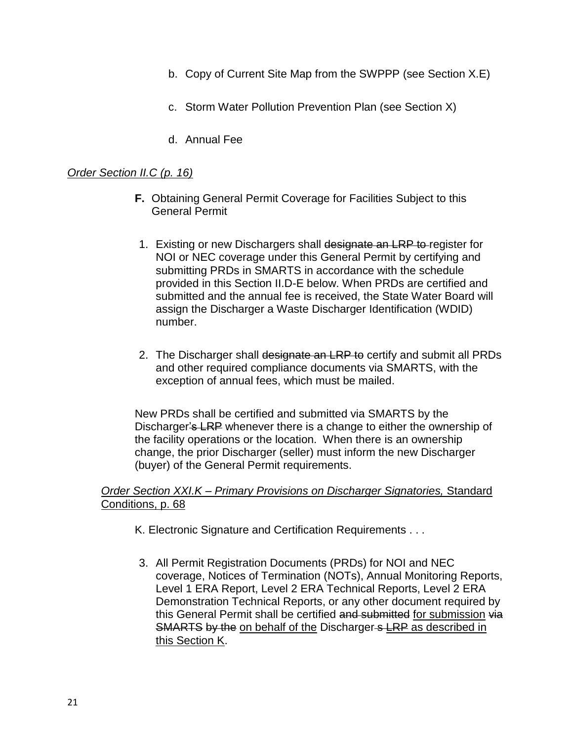- b. Copy of Current Site Map from the SWPPP (see Section X.E)
- c. Storm Water Pollution Prevention Plan (see Section X)
- d. Annual Fee

#### *Order Section II.C (p. 16)*

- **F.** Obtaining General Permit Coverage for Facilities Subject to this General Permit
- 1. Existing or new Dischargers shall designate an LRP to register for NOI or NEC coverage under this General Permit by certifying and submitting PRDs in SMARTS in accordance with the schedule provided in this Section II.D-E below. When PRDs are certified and submitted and the annual fee is received, the State Water Board will assign the Discharger a Waste Discharger Identification (WDID) number.
- 2. The Discharger shall designate an LRP to certify and submit all PRDs and other required compliance documents via SMARTS, with the exception of annual fees, which must be mailed.

New PRDs shall be certified and submitted via SMARTS by the Discharger's LRP whenever there is a change to either the ownership of the facility operations or the location. When there is an ownership change, the prior Discharger (seller) must inform the new Discharger (buyer) of the General Permit requirements.

*Order Section XXI.K – Primary Provisions on Discharger Signatories,* Standard Conditions, p. 68

- K. Electronic Signature and Certification Requirements . . .
- 3. All Permit Registration Documents (PRDs) for NOI and NEC coverage, Notices of Termination (NOTs), Annual Monitoring Reports, Level 1 ERA Report, Level 2 ERA Technical Reports, Level 2 ERA Demonstration Technical Reports, or any other document required by this General Permit shall be certified and submitted for submission via SMARTS by the on behalf of the Discharger s LRP as described in this Section K.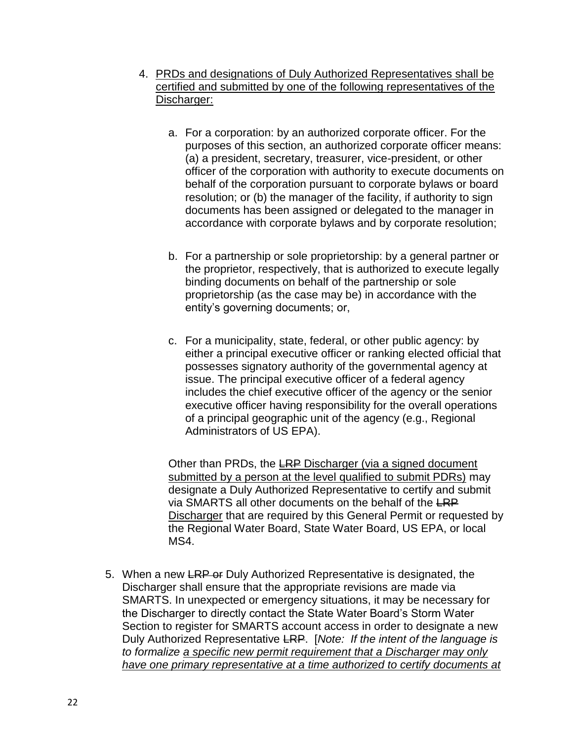- 4. PRDs and designations of Duly Authorized Representatives shall be certified and submitted by one of the following representatives of the Discharger:
	- a. For a corporation: by an authorized corporate officer. For the purposes of this section, an authorized corporate officer means: (a) a president, secretary, treasurer, vice-president, or other officer of the corporation with authority to execute documents on behalf of the corporation pursuant to corporate bylaws or board resolution; or (b) the manager of the facility, if authority to sign documents has been assigned or delegated to the manager in accordance with corporate bylaws and by corporate resolution;
	- b. For a partnership or sole proprietorship: by a general partner or the proprietor, respectively, that is authorized to execute legally binding documents on behalf of the partnership or sole proprietorship (as the case may be) in accordance with the entity's governing documents; or,
	- c. For a municipality, state, federal, or other public agency: by either a principal executive officer or ranking elected official that possesses signatory authority of the governmental agency at issue. The principal executive officer of a federal agency includes the chief executive officer of the agency or the senior executive officer having responsibility for the overall operations of a principal geographic unit of the agency (e.g., Regional Administrators of US EPA).

Other than PRDs, the LRP Discharger (via a signed document submitted by a person at the level qualified to submit PDRs) may designate a Duly Authorized Representative to certify and submit via SMARTS all other documents on the behalf of the LRP Discharger that are required by this General Permit or requested by the Regional Water Board, State Water Board, US EPA, or local MS4.

5. When a new LRP or Duly Authorized Representative is designated, the Discharger shall ensure that the appropriate revisions are made via SMARTS. In unexpected or emergency situations, it may be necessary for the Discharger to directly contact the State Water Board's Storm Water Section to register for SMARTS account access in order to designate a new Duly Authorized Representative LRP. [*Note: If the intent of the language is to formalize a specific new permit requirement that a Discharger may only have one primary representative at a time authorized to certify documents at*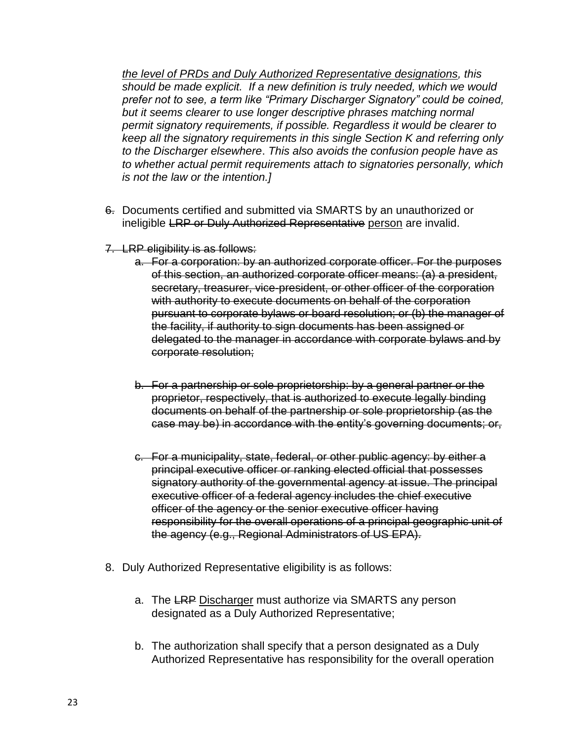*the level of PRDs and Duly Authorized Representative designations, this should be made explicit. If a new definition is truly needed, which we would prefer not to see, a term like "Primary Discharger Signatory" could be coined, but it seems clearer to use longer descriptive phrases matching normal permit signatory requirements, if possible. Regardless it would be clearer to keep all the signatory requirements in this single Section K and referring only to the Discharger elsewhere*. *This also avoids the confusion people have as to whether actual permit requirements attach to signatories personally, which is not the law or the intention.]*

- 6. Documents certified and submitted via SMARTS by an unauthorized or ineligible LRP or Duly Authorized Representative person are invalid.
- 7. LRP eligibility is as follows:
	- a. For a corporation: by an authorized corporate officer. For the purposes of this section, an authorized corporate officer means: (a) a president, secretary, treasurer, vice-president, or other officer of the corporation with authority to execute documents on behalf of the corporation pursuant to corporate bylaws or board resolution; or (b) the manager of the facility, if authority to sign documents has been assigned or delegated to the manager in accordance with corporate bylaws and by corporate resolution;
	- b. For a partnership or sole proprietorship: by a general partner or the proprietor, respectively, that is authorized to execute legally binding documents on behalf of the partnership or sole proprietorship (as the case may be) in accordance with the entity's governing documents; or,
	- c. For a municipality, state, federal, or other public agency: by either a principal executive officer or ranking elected official that possesses signatory authority of the governmental agency at issue. The principal executive officer of a federal agency includes the chief executive officer of the agency or the senior executive officer having responsibility for the overall operations of a principal geographic unit of the agency (e.g., Regional Administrators of US EPA).
- 8. Duly Authorized Representative eligibility is as follows:
	- a. The LRP Discharger must authorize via SMARTS any person designated as a Duly Authorized Representative;
	- b. The authorization shall specify that a person designated as a Duly Authorized Representative has responsibility for the overall operation